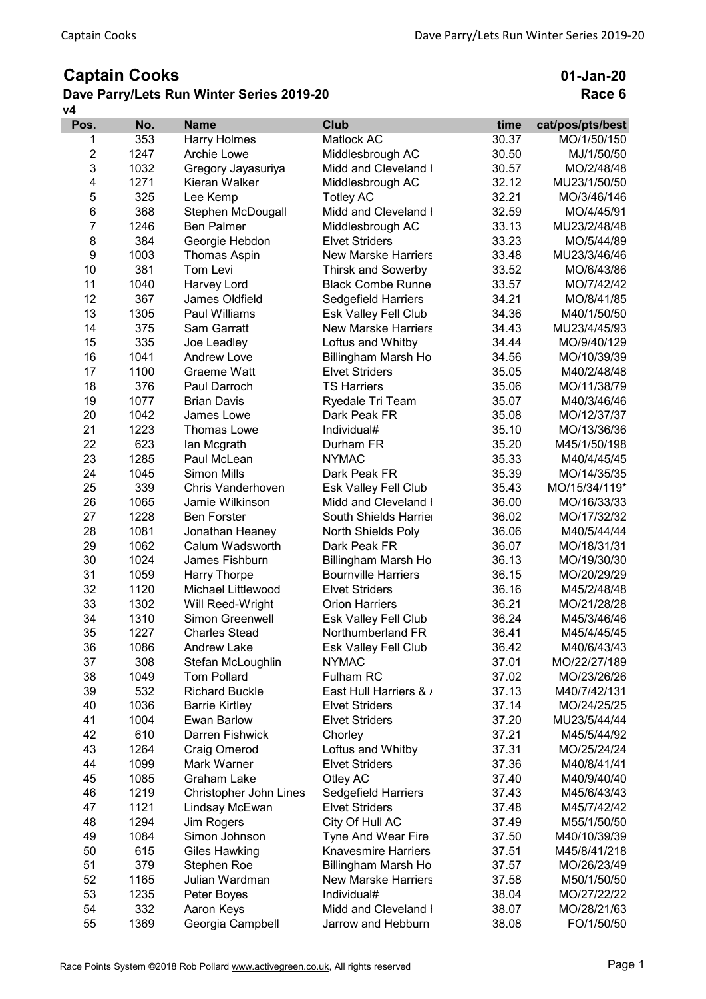## Captain Cooks

## v4 Dave Parry/Lets Run Winter Series 2019-20

01-Jan-20 Race 6

| Pos.           | No.  | <b>Name</b>              | <b>Club</b>                 | time  | cat/pos/pts/best |
|----------------|------|--------------------------|-----------------------------|-------|------------------|
| 1              | 353  | <b>Harry Holmes</b>      | Matlock AC                  | 30.37 | MO/1/50/150      |
| $\overline{2}$ | 1247 | Archie Lowe              | Middlesbrough AC            | 30.50 | MJ/1/50/50       |
| 3              | 1032 | Gregory Jayasuriya       | Midd and Cleveland I        | 30.57 | MO/2/48/48       |
| 4              | 1271 | Kieran Walker            | Middlesbrough AC            | 32.12 | MU23/1/50/50     |
| 5              | 325  | Lee Kemp                 | <b>Totley AC</b>            | 32.21 | MO/3/46/146      |
| 6              | 368  | Stephen McDougall        | Midd and Cleveland I        | 32.59 | MO/4/45/91       |
| 7              | 1246 | <b>Ben Palmer</b>        | Middlesbrough AC            | 33.13 | MU23/2/48/48     |
| 8              | 384  | Georgie Hebdon           | <b>Elvet Striders</b>       | 33.23 | MO/5/44/89       |
| 9              | 1003 | <b>Thomas Aspin</b>      | <b>New Marske Harriers</b>  | 33.48 | MU23/3/46/46     |
| 10             | 381  | Tom Levi                 | Thirsk and Sowerby          | 33.52 | MO/6/43/86       |
| 11             | 1040 | Harvey Lord              | <b>Black Combe Runnel</b>   | 33.57 | MO/7/42/42       |
| 12             | 367  | James Oldfield           | Sedgefield Harriers         | 34.21 | MO/8/41/85       |
| 13             | 1305 | Paul Williams            | Esk Valley Fell Club        | 34.36 | M40/1/50/50      |
| 14             | 375  | Sam Garratt              | <b>New Marske Harriers</b>  | 34.43 | MU23/4/45/93     |
| 15             | 335  | Joe Leadley              | Loftus and Whitby           | 34.44 | MO/9/40/129      |
| 16             | 1041 | <b>Andrew Love</b>       | Billingham Marsh Ho         | 34.56 | MO/10/39/39      |
| 17             | 1100 | Graeme Watt              | <b>Elvet Striders</b>       | 35.05 | M40/2/48/48      |
| 18             | 376  | Paul Darroch             | <b>TS Harriers</b>          | 35.06 | MO/11/38/79      |
| 19             | 1077 | <b>Brian Davis</b>       | Ryedale Tri Team            | 35.07 | M40/3/46/46      |
| 20             | 1042 | James Lowe               | Dark Peak FR                | 35.08 | MO/12/37/37      |
| 21             | 1223 | <b>Thomas Lowe</b>       | Individual#                 | 35.10 | MO/13/36/36      |
| 22             | 623  | lan Mcgrath              | Durham FR                   | 35.20 | M45/1/50/198     |
| 23             | 1285 | Paul McLean              | <b>NYMAC</b>                | 35.33 | M40/4/45/45      |
| 24             | 1045 | <b>Simon Mills</b>       | Dark Peak FR                | 35.39 | MO/14/35/35      |
| 25             | 339  | <b>Chris Vanderhoven</b> | <b>Esk Valley Fell Club</b> | 35.43 | MO/15/34/119*    |
| 26             | 1065 | Jamie Wilkinson          | Midd and Cleveland I        | 36.00 | MO/16/33/33      |
| 27             | 1228 | <b>Ben Forster</b>       | South Shields Harrier       | 36.02 | MO/17/32/32      |
| 28             | 1081 | Jonathan Heaney          | North Shields Poly          | 36.06 | M40/5/44/44      |
| 29             | 1062 | Calum Wadsworth          | Dark Peak FR                | 36.07 | MO/18/31/31      |
| 30             | 1024 | James Fishburn           | Billingham Marsh Ho         | 36.13 | MO/19/30/30      |
| 31             | 1059 | Harry Thorpe             | <b>Bournville Harriers</b>  | 36.15 | MO/20/29/29      |
| 32             | 1120 | Michael Littlewood       | <b>Elvet Striders</b>       | 36.16 | M45/2/48/48      |
| 33             | 1302 | Will Reed-Wright         | <b>Orion Harriers</b>       | 36.21 | MO/21/28/28      |
| 34             | 1310 | Simon Greenwell          | <b>Esk Valley Fell Club</b> | 36.24 | M45/3/46/46      |
| 35             | 1227 | <b>Charles Stead</b>     | Northumberland FR           | 36.41 | M45/4/45/45      |
| 36             | 1086 | <b>Andrew Lake</b>       | Esk Valley Fell Club        | 36.42 | M40/6/43/43      |
| 37             | 308  | Stefan McLoughlin        | <b>NYMAC</b>                | 37.01 | MO/22/27/189     |
| 38             | 1049 | <b>Tom Pollard</b>       | <b>Fulham RC</b>            | 37.02 | MO/23/26/26      |
| 39             | 532  | <b>Richard Buckle</b>    | East Hull Harriers & /      | 37.13 | M40/7/42/131     |
| 40             | 1036 | <b>Barrie Kirtley</b>    | <b>Elvet Striders</b>       | 37.14 | MO/24/25/25      |
| 41             | 1004 | <b>Ewan Barlow</b>       | <b>Elvet Striders</b>       | 37.20 | MU23/5/44/44     |
| 42             | 610  | Darren Fishwick          | Chorley                     | 37.21 | M45/5/44/92      |
| 43             | 1264 | Craig Omerod             | Loftus and Whitby           | 37.31 | MO/25/24/24      |
| 44             | 1099 | Mark Warner              | <b>Elvet Striders</b>       | 37.36 | M40/8/41/41      |
| 45             | 1085 | <b>Graham Lake</b>       | Otley AC                    | 37.40 | M40/9/40/40      |
| 46             | 1219 | Christopher John Lines   | Sedgefield Harriers         | 37.43 | M45/6/43/43      |
| 47             | 1121 | Lindsay McEwan           | <b>Elvet Striders</b>       | 37.48 | M45/7/42/42      |
| 48             | 1294 | Jim Rogers               | City Of Hull AC             | 37.49 | M55/1/50/50      |
| 49             | 1084 | Simon Johnson            | Tyne And Wear Fire          | 37.50 | M40/10/39/39     |
| 50             | 615  | Giles Hawking            | <b>Knavesmire Harriers</b>  | 37.51 | M45/8/41/218     |
| 51             | 379  | Stephen Roe              | Billingham Marsh Ho         | 37.57 | MO/26/23/49      |
| 52             | 1165 | Julian Wardman           | <b>New Marske Harriers</b>  | 37.58 | M50/1/50/50      |
| 53             | 1235 | Peter Boyes              | Individual#                 | 38.04 | MO/27/22/22      |
| 54             | 332  | Aaron Keys               | Midd and Cleveland I        | 38.07 | MO/28/21/63      |
| 55             | 1369 | Georgia Campbell         | Jarrow and Hebburn          | 38.08 | FO/1/50/50       |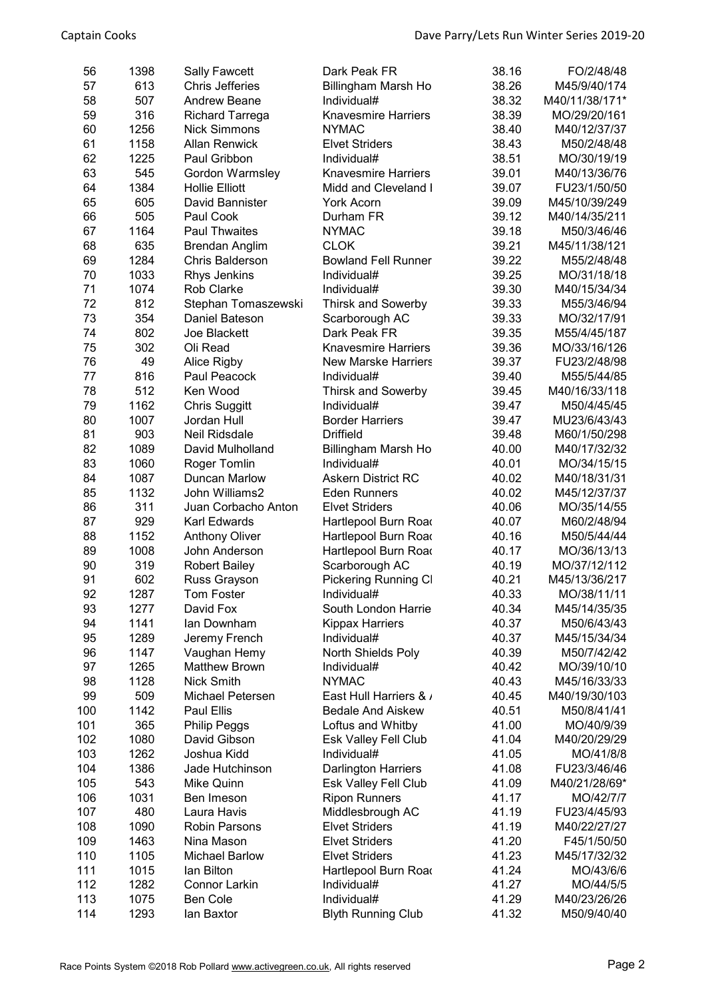| 56  | 1398 | <b>Sally Fawcett</b>   | Dark Peak FR                | 38.16 | FO/2/48/48     |
|-----|------|------------------------|-----------------------------|-------|----------------|
| 57  | 613  | Chris Jefferies        | Billingham Marsh Ho         | 38.26 | M45/9/40/174   |
| 58  | 507  | <b>Andrew Beane</b>    | Individual#                 | 38.32 | M40/11/38/171* |
| 59  | 316  | <b>Richard Tarrega</b> | <b>Knavesmire Harriers</b>  | 38.39 | MO/29/20/161   |
| 60  | 1256 | <b>Nick Simmons</b>    | <b>NYMAC</b>                | 38.40 | M40/12/37/37   |
| 61  | 1158 | <b>Allan Renwick</b>   | <b>Elvet Striders</b>       | 38.43 | M50/2/48/48    |
| 62  | 1225 | Paul Gribbon           | Individual#                 | 38.51 | MO/30/19/19    |
| 63  | 545  | Gordon Warmsley        | <b>Knavesmire Harriers</b>  | 39.01 | M40/13/36/76   |
| 64  | 1384 | <b>Hollie Elliott</b>  | Midd and Cleveland I        | 39.07 | FU23/1/50/50   |
| 65  | 605  | David Bannister        | York Acorn                  | 39.09 | M45/10/39/249  |
| 66  | 505  | Paul Cook              | Durham FR                   | 39.12 | M40/14/35/211  |
| 67  | 1164 | <b>Paul Thwaites</b>   | <b>NYMAC</b>                | 39.18 | M50/3/46/46    |
| 68  | 635  | <b>Brendan Anglim</b>  | <b>CLOK</b>                 | 39.21 | M45/11/38/121  |
| 69  | 1284 | Chris Balderson        | <b>Bowland Fell Runner</b>  | 39.22 | M55/2/48/48    |
| 70  | 1033 | Rhys Jenkins           | Individual#                 | 39.25 | MO/31/18/18    |
| 71  | 1074 | Rob Clarke             | Individual#                 | 39.30 | M40/15/34/34   |
| 72  | 812  | Stephan Tomaszewski    | <b>Thirsk and Sowerby</b>   | 39.33 | M55/3/46/94    |
| 73  | 354  | Daniel Bateson         | Scarborough AC              | 39.33 | MO/32/17/91    |
| 74  | 802  | Joe Blackett           | Dark Peak FR                | 39.35 | M55/4/45/187   |
| 75  | 302  | Oli Read               | <b>Knavesmire Harriers</b>  | 39.36 | MO/33/16/126   |
| 76  | 49   | Alice Rigby            | <b>New Marske Harriers</b>  | 39.37 | FU23/2/48/98   |
| 77  | 816  | Paul Peacock           | Individual#                 | 39.40 | M55/5/44/85    |
| 78  | 512  | Ken Wood               | <b>Thirsk and Sowerby</b>   | 39.45 | M40/16/33/118  |
| 79  | 1162 | <b>Chris Suggitt</b>   | Individual#                 | 39.47 | M50/4/45/45    |
| 80  | 1007 | Jordan Hull            | <b>Border Harriers</b>      | 39.47 | MU23/6/43/43   |
| 81  | 903  | <b>Neil Ridsdale</b>   | <b>Driffield</b>            | 39.48 | M60/1/50/298   |
| 82  | 1089 | David Mulholland       | Billingham Marsh Ho         | 40.00 | M40/17/32/32   |
| 83  | 1060 | Roger Tomlin           | Individual#                 | 40.01 | MO/34/15/15    |
| 84  | 1087 | <b>Duncan Marlow</b>   | <b>Askern District RC</b>   | 40.02 | M40/18/31/31   |
| 85  | 1132 | John Williams2         | <b>Eden Runners</b>         | 40.02 | M45/12/37/37   |
| 86  | 311  | Juan Corbacho Anton    | <b>Elvet Striders</b>       | 40.06 | MO/35/14/55    |
| 87  | 929  | Karl Edwards           | Hartlepool Burn Road        | 40.07 | M60/2/48/94    |
| 88  | 1152 | <b>Anthony Oliver</b>  | Hartlepool Burn Road        | 40.16 | M50/5/44/44    |
| 89  | 1008 | John Anderson          | Hartlepool Burn Road        | 40.17 | MO/36/13/13    |
| 90  | 319  | <b>Robert Bailey</b>   | Scarborough AC              | 40.19 | MO/37/12/112   |
| 91  | 602  | Russ Grayson           | <b>Pickering Running CI</b> | 40.21 | M45/13/36/217  |
| 92  | 1287 | Tom Foster             | Individual#                 | 40.33 | MO/38/11/11    |
| 93  | 1277 | David Fox              | South London Harrie         | 40.34 | M45/14/35/35   |
| 94  | 1141 | lan Downham            | <b>Kippax Harriers</b>      | 40.37 | M50/6/43/43    |
| 95  | 1289 | Jeremy French          | Individual#                 | 40.37 | M45/15/34/34   |
| 96  | 1147 | Vaughan Hemy           | North Shields Poly          | 40.39 | M50/7/42/42    |
| 97  | 1265 | <b>Matthew Brown</b>   | Individual#                 | 40.42 | MO/39/10/10    |
| 98  | 1128 | Nick Smith             | <b>NYMAC</b>                | 40.43 | M45/16/33/33   |
| 99  | 509  | Michael Petersen       | East Hull Harriers & /      | 40.45 | M40/19/30/103  |
| 100 | 1142 | Paul Ellis             | <b>Bedale And Aiskew</b>    | 40.51 | M50/8/41/41    |
| 101 | 365  | <b>Philip Peggs</b>    | Loftus and Whitby           | 41.00 | MO/40/9/39     |
| 102 | 1080 | David Gibson           | <b>Esk Valley Fell Club</b> | 41.04 | M40/20/29/29   |
| 103 | 1262 | Joshua Kidd            | Individual#                 | 41.05 | MO/41/8/8      |
| 104 | 1386 | Jade Hutchinson        | <b>Darlington Harriers</b>  | 41.08 | FU23/3/46/46   |
| 105 | 543  | Mike Quinn             | Esk Valley Fell Club        | 41.09 | M40/21/28/69*  |
| 106 | 1031 | Ben Imeson             | <b>Ripon Runners</b>        | 41.17 | MO/42/7/7      |
| 107 | 480  | Laura Havis            | Middlesbrough AC            | 41.19 | FU23/4/45/93   |
| 108 | 1090 | <b>Robin Parsons</b>   | <b>Elvet Striders</b>       | 41.19 | M40/22/27/27   |
| 109 | 1463 | Nina Mason             | <b>Elvet Striders</b>       | 41.20 | F45/1/50/50    |
| 110 | 1105 | <b>Michael Barlow</b>  | <b>Elvet Striders</b>       | 41.23 | M45/17/32/32   |
| 111 | 1015 | lan Bilton             | Hartlepool Burn Road        | 41.24 | MO/43/6/6      |
| 112 | 1282 | <b>Connor Larkin</b>   | Individual#                 | 41.27 | MO/44/5/5      |
| 113 | 1075 | <b>Ben Cole</b>        | Individual#                 | 41.29 | M40/23/26/26   |
| 114 | 1293 | lan Baxtor             | <b>Blyth Running Club</b>   | 41.32 | M50/9/40/40    |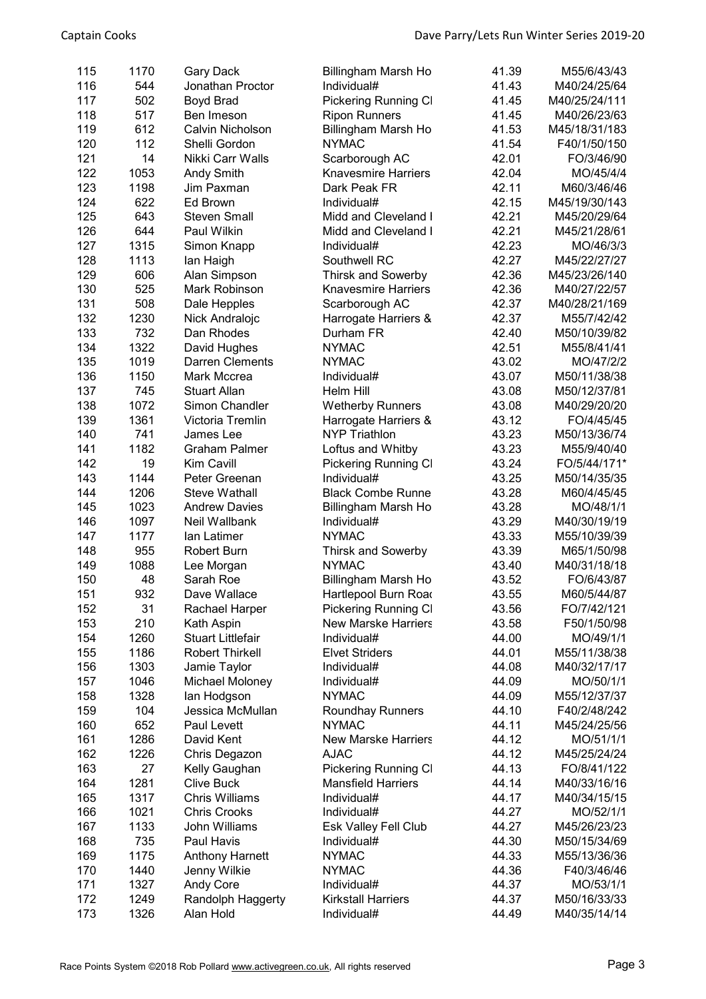| 115 | 1170 | <b>Gary Dack</b>         | Billingham Marsh Ho         | 41.39 | M55/6/43/43   |
|-----|------|--------------------------|-----------------------------|-------|---------------|
| 116 | 544  | Jonathan Proctor         | Individual#                 | 41.43 | M40/24/25/64  |
|     |      |                          |                             |       |               |
| 117 | 502  | Boyd Brad                | Pickering Running Cl        | 41.45 | M40/25/24/111 |
| 118 | 517  | Ben Imeson               | <b>Ripon Runners</b>        | 41.45 | M40/26/23/63  |
| 119 | 612  | Calvin Nicholson         | Billingham Marsh Ho         | 41.53 | M45/18/31/183 |
| 120 | 112  | Shelli Gordon            | <b>NYMAC</b>                | 41.54 | F40/1/50/150  |
| 121 | 14   | Nikki Carr Walls         | Scarborough AC              | 42.01 | FO/3/46/90    |
| 122 | 1053 | Andy Smith               | <b>Knavesmire Harriers</b>  | 42.04 | MO/45/4/4     |
| 123 | 1198 | Jim Paxman               | Dark Peak FR                | 42.11 | M60/3/46/46   |
| 124 | 622  | Ed Brown                 | Individual#                 | 42.15 | M45/19/30/143 |
| 125 | 643  | <b>Steven Small</b>      | Midd and Cleveland I        | 42.21 | M45/20/29/64  |
| 126 | 644  | Paul Wilkin              | Midd and Cleveland I        | 42.21 | M45/21/28/61  |
| 127 | 1315 | Simon Knapp              | Individual#                 | 42.23 | MO/46/3/3     |
| 128 | 1113 | lan Haigh                | Southwell RC                | 42.27 | M45/22/27/27  |
| 129 | 606  | Alan Simpson             | <b>Thirsk and Sowerby</b>   | 42.36 | M45/23/26/140 |
| 130 | 525  | Mark Robinson            | <b>Knavesmire Harriers</b>  | 42.36 | M40/27/22/57  |
| 131 | 508  | Dale Hepples             | Scarborough AC              | 42.37 | M40/28/21/169 |
| 132 | 1230 | Nick Andralojc           | Harrogate Harriers &        | 42.37 | M55/7/42/42   |
| 133 | 732  | Dan Rhodes               | Durham FR                   | 42.40 | M50/10/39/82  |
| 134 | 1322 | David Hughes             | <b>NYMAC</b>                | 42.51 | M55/8/41/41   |
| 135 | 1019 | <b>Darren Clements</b>   | <b>NYMAC</b>                | 43.02 | MO/47/2/2     |
| 136 | 1150 | Mark Mccrea              | Individual#                 | 43.07 | M50/11/38/38  |
| 137 | 745  | <b>Stuart Allan</b>      | Helm Hill                   | 43.08 | M50/12/37/81  |
| 138 | 1072 | Simon Chandler           | <b>Wetherby Runners</b>     | 43.08 | M40/29/20/20  |
| 139 | 1361 | Victoria Tremlin         | Harrogate Harriers &        | 43.12 | FO/4/45/45    |
| 140 | 741  | James Lee                | <b>NYP Triathlon</b>        | 43.23 | M50/13/36/74  |
| 141 | 1182 | <b>Graham Palmer</b>     | Loftus and Whitby           | 43.23 | M55/9/40/40   |
| 142 | 19   | Kim Cavill               | <b>Pickering Running CI</b> | 43.24 | FO/5/44/171*  |
| 143 | 1144 | Peter Greenan            | Individual#                 | 43.25 | M50/14/35/35  |
| 144 | 1206 | <b>Steve Wathall</b>     | <b>Black Combe Runnel</b>   | 43.28 | M60/4/45/45   |
| 145 | 1023 | <b>Andrew Davies</b>     | Billingham Marsh Ho         | 43.28 | MO/48/1/1     |
| 146 | 1097 | Neil Wallbank            | Individual#                 | 43.29 | M40/30/19/19  |
| 147 | 1177 | lan Latimer              | <b>NYMAC</b>                | 43.33 | M55/10/39/39  |
| 148 | 955  | <b>Robert Burn</b>       | <b>Thirsk and Sowerby</b>   | 43.39 | M65/1/50/98   |
| 149 | 1088 | Lee Morgan               | <b>NYMAC</b>                | 43.40 | M40/31/18/18  |
| 150 | 48   | Sarah Roe                | Billingham Marsh Ho         | 43.52 | FO/6/43/87    |
| 151 | 932  | Dave Wallace             | Hartlepool Burn Road        | 43.55 | M60/5/44/87   |
| 152 | 31   | Rachael Harper           | <b>Pickering Running CI</b> | 43.56 | FO/7/42/121   |
| 153 | 210  | Kath Aspin               | <b>New Marske Harriers</b>  | 43.58 | F50/1/50/98   |
| 154 | 1260 | <b>Stuart Littlefair</b> | Individual#                 | 44.00 | MO/49/1/1     |
| 155 | 1186 | <b>Robert Thirkell</b>   | <b>Elvet Striders</b>       | 44.01 | M55/11/38/38  |
| 156 | 1303 | Jamie Taylor             | Individual#                 | 44.08 | M40/32/17/17  |
| 157 | 1046 | Michael Moloney          | Individual#                 | 44.09 | MO/50/1/1     |
| 158 | 1328 | lan Hodgson              | <b>NYMAC</b>                | 44.09 | M55/12/37/37  |
| 159 | 104  | Jessica McMullan         | <b>Roundhay Runners</b>     | 44.10 | F40/2/48/242  |
| 160 | 652  | Paul Levett              | <b>NYMAC</b>                | 44.11 | M45/24/25/56  |
| 161 | 1286 | David Kent               | <b>New Marske Harriers</b>  | 44.12 | MO/51/1/1     |
| 162 | 1226 | Chris Degazon            | <b>AJAC</b>                 | 44.12 | M45/25/24/24  |
| 163 | 27   | Kelly Gaughan            | Pickering Running Cl        | 44.13 | FO/8/41/122   |
| 164 | 1281 | <b>Clive Buck</b>        | <b>Mansfield Harriers</b>   | 44.14 | M40/33/16/16  |
| 165 | 1317 | <b>Chris Williams</b>    | Individual#                 | 44.17 | M40/34/15/15  |
| 166 | 1021 | <b>Chris Crooks</b>      | Individual#                 | 44.27 | MO/52/1/1     |
| 167 | 1133 | John Williams            |                             | 44.27 | M45/26/23/23  |
|     |      |                          | Esk Valley Fell Club        |       |               |
| 168 | 735  | Paul Havis               | Individual#                 | 44.30 | M50/15/34/69  |
| 169 | 1175 | <b>Anthony Harnett</b>   | <b>NYMAC</b>                | 44.33 | M55/13/36/36  |
| 170 | 1440 | Jenny Wilkie             | <b>NYMAC</b>                | 44.36 | F40/3/46/46   |
| 171 | 1327 | Andy Core                | Individual#                 | 44.37 | MO/53/1/1     |
| 172 | 1249 | Randolph Haggerty        | <b>Kirkstall Harriers</b>   | 44.37 | M50/16/33/33  |
| 173 | 1326 | Alan Hold                | Individual#                 | 44.49 | M40/35/14/14  |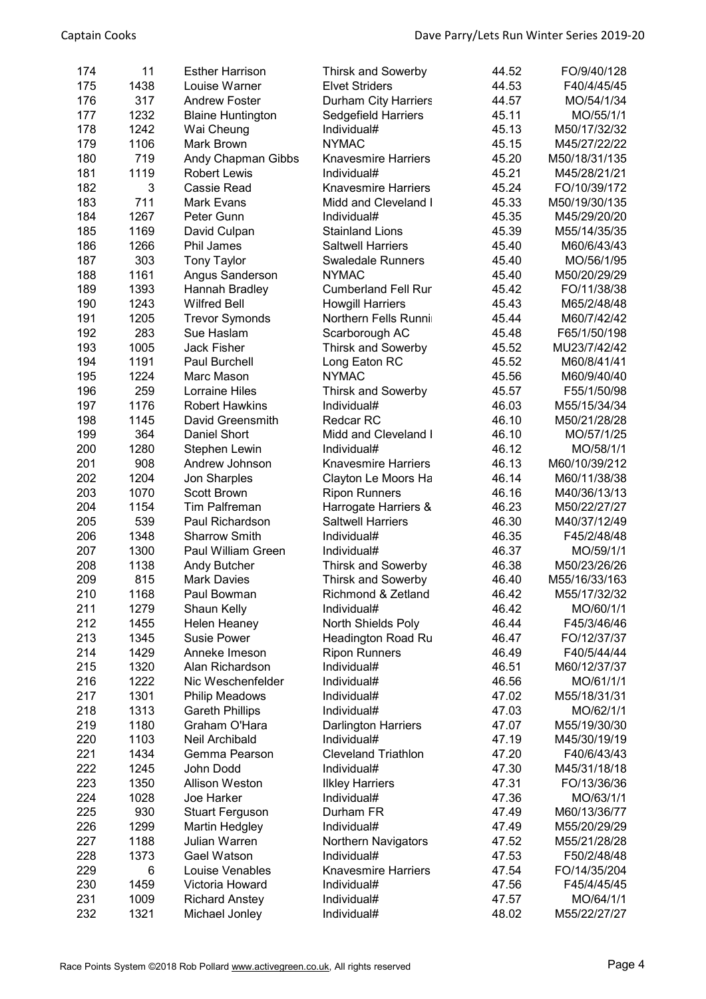| 174 | 11   | <b>Esther Harrison</b>   | <b>Thirsk and Sowerby</b>  | 44.52 | FO/9/40/128   |
|-----|------|--------------------------|----------------------------|-------|---------------|
| 175 | 1438 | Louise Warner            | <b>Elvet Striders</b>      | 44.53 | F40/4/45/45   |
| 176 | 317  | <b>Andrew Foster</b>     | Durham City Harriers       | 44.57 | MO/54/1/34    |
| 177 | 1232 | <b>Blaine Huntington</b> | Sedgefield Harriers        | 45.11 | MO/55/1/1     |
| 178 | 1242 | Wai Cheung               | Individual#                | 45.13 | M50/17/32/32  |
| 179 | 1106 | Mark Brown               | <b>NYMAC</b>               | 45.15 | M45/27/22/22  |
| 180 | 719  | Andy Chapman Gibbs       | <b>Knavesmire Harriers</b> | 45.20 | M50/18/31/135 |
| 181 | 1119 | <b>Robert Lewis</b>      | Individual#                | 45.21 | M45/28/21/21  |
| 182 | 3    | Cassie Read              | <b>Knavesmire Harriers</b> | 45.24 | FO/10/39/172  |
| 183 | 711  | Mark Evans               | Midd and Cleveland I       | 45.33 | M50/19/30/135 |
| 184 | 1267 | Peter Gunn               | Individual#                | 45.35 | M45/29/20/20  |
| 185 | 1169 | David Culpan             | <b>Stainland Lions</b>     | 45.39 | M55/14/35/35  |
| 186 | 1266 | Phil James               | <b>Saltwell Harriers</b>   | 45.40 | M60/6/43/43   |
| 187 | 303  | <b>Tony Taylor</b>       | <b>Swaledale Runners</b>   | 45.40 | MO/56/1/95    |
| 188 | 1161 | Angus Sanderson          | <b>NYMAC</b>               | 45.40 | M50/20/29/29  |
| 189 | 1393 | Hannah Bradley           | <b>Cumberland Fell Rur</b> | 45.42 | FO/11/38/38   |
| 190 | 1243 | <b>Wilfred Bell</b>      | <b>Howgill Harriers</b>    | 45.43 | M65/2/48/48   |
| 191 | 1205 | <b>Trevor Symonds</b>    | Northern Fells Runnii      | 45.44 | M60/7/42/42   |
| 192 | 283  | Sue Haslam               | Scarborough AC             | 45.48 | F65/1/50/198  |
| 193 | 1005 | <b>Jack Fisher</b>       | <b>Thirsk and Sowerby</b>  | 45.52 | MU23/7/42/42  |
| 194 | 1191 | Paul Burchell            | Long Eaton RC              | 45.52 | M60/8/41/41   |
| 195 | 1224 | Marc Mason               | <b>NYMAC</b>               | 45.56 | M60/9/40/40   |
| 196 | 259  | Lorraine Hiles           | <b>Thirsk and Sowerby</b>  | 45.57 | F55/1/50/98   |
| 197 | 1176 | <b>Robert Hawkins</b>    | Individual#                | 46.03 | M55/15/34/34  |
| 198 | 1145 | David Greensmith         | <b>Redcar RC</b>           | 46.10 | M50/21/28/28  |
| 199 | 364  | Daniel Short             | Midd and Cleveland I       | 46.10 | MO/57/1/25    |
| 200 | 1280 | Stephen Lewin            | Individual#                | 46.12 | MO/58/1/1     |
| 201 | 908  | Andrew Johnson           | <b>Knavesmire Harriers</b> | 46.13 | M60/10/39/212 |
| 202 | 1204 | Jon Sharples             | Clayton Le Moors Ha        | 46.14 | M60/11/38/38  |
| 203 | 1070 | Scott Brown              | <b>Ripon Runners</b>       | 46.16 | M40/36/13/13  |
| 204 | 1154 | <b>Tim Palfreman</b>     | Harrogate Harriers &       | 46.23 | M50/22/27/27  |
| 205 | 539  | Paul Richardson          | <b>Saltwell Harriers</b>   | 46.30 | M40/37/12/49  |
| 206 | 1348 | <b>Sharrow Smith</b>     | Individual#                | 46.35 | F45/2/48/48   |
| 207 | 1300 | Paul William Green       | Individual#                | 46.37 | MO/59/1/1     |
| 208 | 1138 | <b>Andy Butcher</b>      | <b>Thirsk and Sowerby</b>  | 46.38 | M50/23/26/26  |
| 209 | 815  | <b>Mark Davies</b>       | <b>Thirsk and Sowerby</b>  | 46.40 | M55/16/33/163 |
| 210 | 1168 | Paul Bowman              | Richmond & Zetland         | 46.42 | M55/17/32/32  |
| 211 | 1279 | Shaun Kelly              | Individual#                | 46.42 | MO/60/1/1     |
| 212 | 1455 | Helen Heaney             | North Shields Poly         | 46.44 | F45/3/46/46   |
| 213 | 1345 | <b>Susie Power</b>       | <b>Headington Road Ru</b>  | 46.47 | FO/12/37/37   |
| 214 | 1429 | Anneke Imeson            | <b>Ripon Runners</b>       | 46.49 | F40/5/44/44   |
| 215 | 1320 | Alan Richardson          | Individual#                | 46.51 | M60/12/37/37  |
| 216 | 1222 | Nic Weschenfelder        | Individual#                | 46.56 | MO/61/1/1     |
| 217 | 1301 | <b>Philip Meadows</b>    | Individual#                | 47.02 | M55/18/31/31  |
| 218 | 1313 | <b>Gareth Phillips</b>   | Individual#                | 47.03 | MO/62/1/1     |
| 219 | 1180 | Graham O'Hara            | <b>Darlington Harriers</b> | 47.07 | M55/19/30/30  |
| 220 | 1103 | <b>Neil Archibald</b>    | Individual#                | 47.19 | M45/30/19/19  |
| 221 | 1434 | Gemma Pearson            | <b>Cleveland Triathlon</b> | 47.20 | F40/6/43/43   |
| 222 | 1245 | John Dodd                | Individual#                | 47.30 | M45/31/18/18  |
| 223 | 1350 | <b>Allison Weston</b>    | <b>Ilkley Harriers</b>     | 47.31 | FO/13/36/36   |
| 224 | 1028 | Joe Harker               | Individual#                | 47.36 | MO/63/1/1     |
| 225 | 930  | <b>Stuart Ferguson</b>   | Durham FR                  | 47.49 | M60/13/36/77  |
| 226 | 1299 | Martin Hedgley           | Individual#                | 47.49 | M55/20/29/29  |
| 227 | 1188 | Julian Warren            | Northern Navigators        | 47.52 | M55/21/28/28  |
| 228 | 1373 | Gael Watson              | Individual#                | 47.53 | F50/2/48/48   |
| 229 | 6    | Louise Venables          | <b>Knavesmire Harriers</b> | 47.54 | FO/14/35/204  |
| 230 | 1459 | Victoria Howard          | Individual#                | 47.56 | F45/4/45/45   |
| 231 | 1009 | <b>Richard Anstey</b>    | Individual#                | 47.57 | MO/64/1/1     |
| 232 | 1321 | Michael Jonley           | Individual#                | 48.02 | M55/22/27/27  |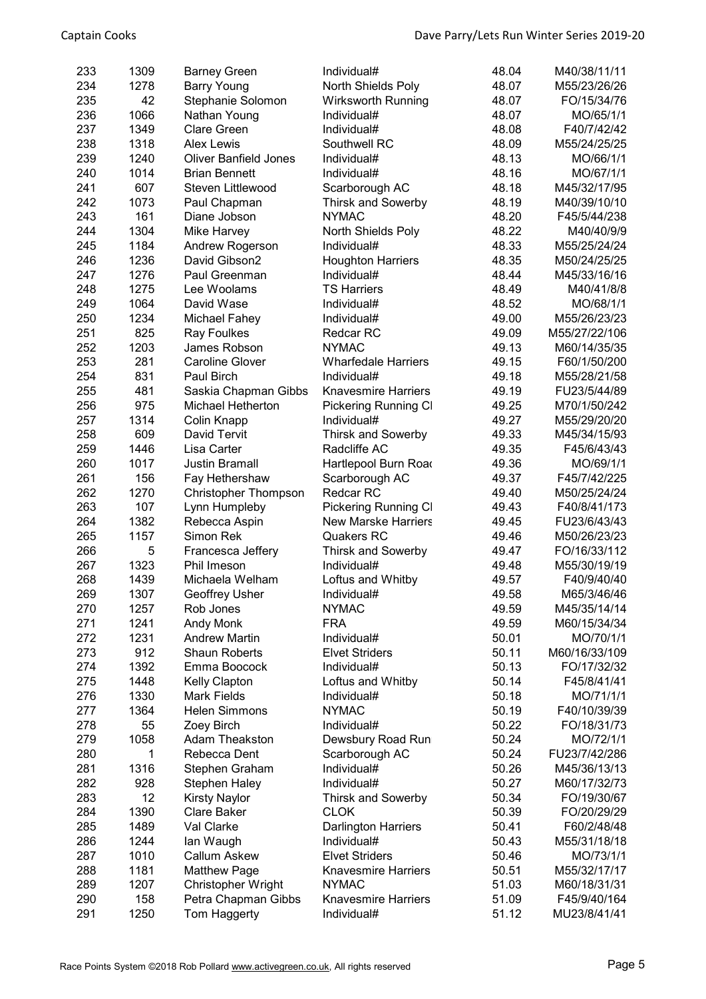| 233 | 1309 | <b>Barney Green</b>              | Individual#                 | 48.04 | M40/38/11/11  |
|-----|------|----------------------------------|-----------------------------|-------|---------------|
| 234 | 1278 | <b>Barry Young</b>               | North Shields Poly          | 48.07 | M55/23/26/26  |
| 235 | 42   | Stephanie Solomon                | Wirksworth Running          | 48.07 | FO/15/34/76   |
| 236 | 1066 | Nathan Young                     | Individual#                 | 48.07 | MO/65/1/1     |
| 237 | 1349 | <b>Clare Green</b>               | Individual#                 | 48.08 | F40/7/42/42   |
| 238 | 1318 | <b>Alex Lewis</b>                | Southwell RC                | 48.09 | M55/24/25/25  |
| 239 | 1240 | <b>Oliver Banfield Jones</b>     |                             | 48.13 | MO/66/1/1     |
| 240 | 1014 |                                  | Individual#                 |       |               |
|     |      | <b>Brian Bennett</b>             | Individual#                 | 48.16 | MO/67/1/1     |
| 241 | 607  | Steven Littlewood                | Scarborough AC              | 48.18 | M45/32/17/95  |
| 242 | 1073 | Paul Chapman                     | <b>Thirsk and Sowerby</b>   | 48.19 | M40/39/10/10  |
| 243 | 161  | Diane Jobson                     | <b>NYMAC</b>                | 48.20 | F45/5/44/238  |
| 244 | 1304 | Mike Harvey                      | North Shields Poly          | 48.22 | M40/40/9/9    |
| 245 | 1184 | Andrew Rogerson                  | Individual#                 | 48.33 | M55/25/24/24  |
| 246 | 1236 | David Gibson2                    | <b>Houghton Harriers</b>    | 48.35 | M50/24/25/25  |
| 247 | 1276 | Paul Greenman                    | Individual#                 | 48.44 | M45/33/16/16  |
| 248 | 1275 | Lee Woolams                      | <b>TS Harriers</b>          | 48.49 | M40/41/8/8    |
| 249 | 1064 | David Wase                       | Individual#                 | 48.52 | MO/68/1/1     |
| 250 | 1234 | Michael Fahey                    | Individual#                 | 49.00 | M55/26/23/23  |
| 251 | 825  | Ray Foulkes                      | <b>Redcar RC</b>            | 49.09 | M55/27/22/106 |
| 252 | 1203 | James Robson                     | <b>NYMAC</b>                | 49.13 | M60/14/35/35  |
| 253 | 281  | <b>Caroline Glover</b>           | <b>Wharfedale Harriers</b>  | 49.15 | F60/1/50/200  |
| 254 | 831  | Paul Birch                       | Individual#                 | 49.18 | M55/28/21/58  |
| 255 | 481  | Saskia Chapman Gibbs             | <b>Knavesmire Harriers</b>  | 49.19 | FU23/5/44/89  |
| 256 | 975  | <b>Michael Hetherton</b>         | <b>Pickering Running CI</b> | 49.25 | M70/1/50/242  |
| 257 | 1314 | Colin Knapp                      | Individual#                 | 49.27 | M55/29/20/20  |
| 258 | 609  | David Tervit                     | <b>Thirsk and Sowerby</b>   | 49.33 | M45/34/15/93  |
| 259 | 1446 | Lisa Carter                      | Radcliffe AC                | 49.35 | F45/6/43/43   |
| 260 | 1017 | <b>Justin Bramall</b>            | Hartlepool Burn Road        | 49.36 | MO/69/1/1     |
| 261 | 156  | Fay Hethershaw                   | Scarborough AC              | 49.37 | F45/7/42/225  |
| 262 | 1270 | <b>Christopher Thompson</b>      | Redcar RC                   | 49.40 | M50/25/24/24  |
| 263 | 107  | Lynn Humpleby                    | Pickering Running Cl        | 49.43 | F40/8/41/173  |
| 264 | 1382 | Rebecca Aspin                    | <b>New Marske Harriers</b>  | 49.45 | FU23/6/43/43  |
| 265 | 1157 | Simon Rek                        | Quakers RC                  | 49.46 | M50/26/23/23  |
| 266 | 5    |                                  | <b>Thirsk and Sowerby</b>   | 49.47 | FO/16/33/112  |
| 267 | 1323 | Francesca Jeffery<br>Phil Imeson | Individual#                 | 49.48 | M55/30/19/19  |
| 268 | 1439 | Michaela Welham                  |                             |       |               |
|     |      |                                  | Loftus and Whitby           | 49.57 | F40/9/40/40   |
| 269 | 1307 | Geoffrey Usher                   | Individual#                 | 49.58 | M65/3/46/46   |
| 270 | 1257 | Rob Jones                        | <b>NYMAC</b>                | 49.59 | M45/35/14/14  |
| 271 | 1241 | Andy Monk                        | <b>FRA</b>                  | 49.59 | M60/15/34/34  |
| 272 | 1231 | <b>Andrew Martin</b>             | Individual#                 | 50.01 | MO/70/1/1     |
| 273 | 912  | <b>Shaun Roberts</b>             | <b>Elvet Striders</b>       | 50.11 | M60/16/33/109 |
| 274 | 1392 | Emma Boocock                     | Individual#                 | 50.13 | FO/17/32/32   |
| 275 | 1448 | Kelly Clapton                    | Loftus and Whitby           | 50.14 | F45/8/41/41   |
| 276 | 1330 | <b>Mark Fields</b>               | Individual#                 | 50.18 | MO/71/1/1     |
| 277 | 1364 | <b>Helen Simmons</b>             | <b>NYMAC</b>                | 50.19 | F40/10/39/39  |
| 278 | 55   | Zoey Birch                       | Individual#                 | 50.22 | FO/18/31/73   |
| 279 | 1058 | <b>Adam Theakston</b>            | Dewsbury Road Run           | 50.24 | MO/72/1/1     |
| 280 | 1    | Rebecca Dent                     | Scarborough AC              | 50.24 | FU23/7/42/286 |
| 281 | 1316 | Stephen Graham                   | Individual#                 | 50.26 | M45/36/13/13  |
| 282 | 928  | <b>Stephen Haley</b>             | Individual#                 | 50.27 | M60/17/32/73  |
| 283 | 12   | <b>Kirsty Naylor</b>             | <b>Thirsk and Sowerby</b>   | 50.34 | FO/19/30/67   |
| 284 | 1390 | Clare Baker                      | <b>CLOK</b>                 | 50.39 | FO/20/29/29   |
| 285 | 1489 | Val Clarke                       | <b>Darlington Harriers</b>  | 50.41 | F60/2/48/48   |
| 286 | 1244 | lan Waugh                        | Individual#                 | 50.43 | M55/31/18/18  |
| 287 | 1010 | <b>Callum Askew</b>              | <b>Elvet Striders</b>       | 50.46 | MO/73/1/1     |
| 288 | 1181 | <b>Matthew Page</b>              | <b>Knavesmire Harriers</b>  | 50.51 | M55/32/17/17  |
| 289 | 1207 | Christopher Wright               | <b>NYMAC</b>                | 51.03 | M60/18/31/31  |
| 290 | 158  | Petra Chapman Gibbs              | <b>Knavesmire Harriers</b>  | 51.09 | F45/9/40/164  |
| 291 | 1250 | Tom Haggerty                     | Individual#                 | 51.12 | MU23/8/41/41  |
|     |      |                                  |                             |       |               |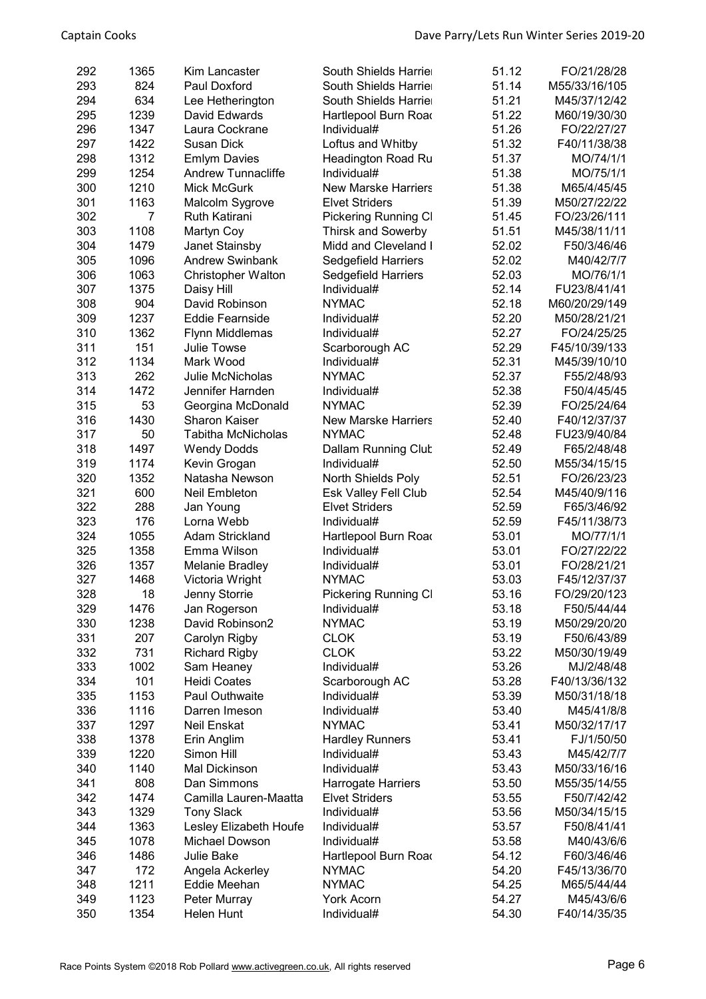| 292 | 1365           | Kim Lancaster                         | South Shields Harrier       | 51.12 | FO/21/28/28   |
|-----|----------------|---------------------------------------|-----------------------------|-------|---------------|
| 293 | 824            | Paul Doxford                          | South Shields Harrier       | 51.14 | M55/33/16/105 |
| 294 | 634            | Lee Hetherington                      | South Shields Harrier       | 51.21 | M45/37/12/42  |
| 295 | 1239           | David Edwards                         | Hartlepool Burn Road        | 51.22 | M60/19/30/30  |
| 296 | 1347           | Laura Cockrane                        | Individual#                 | 51.26 | FO/22/27/27   |
| 297 | 1422           | Susan Dick                            | Loftus and Whitby           | 51.32 | F40/11/38/38  |
| 298 | 1312           | <b>Emlym Davies</b>                   | Headington Road Ru          | 51.37 | MO/74/1/1     |
| 299 | 1254           | <b>Andrew Tunnacliffe</b>             | Individual#                 | 51.38 | MO/75/1/1     |
| 300 | 1210           | <b>Mick McGurk</b>                    | <b>New Marske Harriers</b>  | 51.38 | M65/4/45/45   |
| 301 | 1163           | Malcolm Sygrove                       | <b>Elvet Striders</b>       | 51.39 | M50/27/22/22  |
| 302 | $\overline{7}$ | <b>Ruth Katirani</b>                  | Pickering Running Cl        | 51.45 | FO/23/26/111  |
| 303 | 1108           | Martyn Coy                            | Thirsk and Sowerby          | 51.51 | M45/38/11/11  |
| 304 | 1479           | Janet Stainsby                        | Midd and Cleveland I        | 52.02 | F50/3/46/46   |
| 305 | 1096           | <b>Andrew Swinbank</b>                | Sedgefield Harriers         | 52.02 | M40/42/7/7    |
| 306 | 1063           | Christopher Walton                    | Sedgefield Harriers         | 52.03 | MO/76/1/1     |
| 307 | 1375           | Daisy Hill                            | Individual#                 | 52.14 | FU23/8/41/41  |
| 308 | 904            | David Robinson                        | <b>NYMAC</b>                | 52.18 | M60/20/29/149 |
| 309 | 1237           | <b>Eddie Fearnside</b>                | Individual#                 | 52.20 | M50/28/21/21  |
| 310 | 1362           |                                       |                             | 52.27 | FO/24/25/25   |
|     |                | Flynn Middlemas<br><b>Julie Towse</b> | Individual#                 |       |               |
| 311 | 151            |                                       | Scarborough AC              | 52.29 | F45/10/39/133 |
| 312 | 1134           | Mark Wood                             | Individual#                 | 52.31 | M45/39/10/10  |
| 313 | 262            | <b>Julie McNicholas</b>               | <b>NYMAC</b>                | 52.37 | F55/2/48/93   |
| 314 | 1472           | Jennifer Harnden                      | Individual#                 | 52.38 | F50/4/45/45   |
| 315 | 53             | Georgina McDonald                     | <b>NYMAC</b>                | 52.39 | FO/25/24/64   |
| 316 | 1430           | <b>Sharon Kaiser</b>                  | <b>New Marske Harriers</b>  | 52.40 | F40/12/37/37  |
| 317 | 50             | <b>Tabitha McNicholas</b>             | <b>NYMAC</b>                | 52.48 | FU23/9/40/84  |
| 318 | 1497           | <b>Wendy Dodds</b>                    | Dallam Running Clut         | 52.49 | F65/2/48/48   |
| 319 | 1174           | Kevin Grogan                          | Individual#                 | 52.50 | M55/34/15/15  |
| 320 | 1352           | Natasha Newson                        | North Shields Poly          | 52.51 | FO/26/23/23   |
| 321 | 600            | Neil Embleton                         | <b>Esk Valley Fell Club</b> | 52.54 | M45/40/9/116  |
| 322 | 288            | Jan Young                             | <b>Elvet Striders</b>       | 52.59 | F65/3/46/92   |
| 323 | 176            | Lorna Webb                            | Individual#                 | 52.59 | F45/11/38/73  |
| 324 | 1055           | <b>Adam Strickland</b>                | Hartlepool Burn Road        | 53.01 | MO/77/1/1     |
| 325 | 1358           | Emma Wilson                           | Individual#                 | 53.01 | FO/27/22/22   |
| 326 | 1357           | <b>Melanie Bradley</b>                | Individual#                 | 53.01 | FO/28/21/21   |
| 327 | 1468           | Victoria Wright                       | <b>NYMAC</b>                | 53.03 | F45/12/37/37  |
| 328 | 18             | Jenny Storrie                         | Pickering Running Cl        | 53.16 | FO/29/20/123  |
| 329 | 1476           | Jan Rogerson                          | Individual#                 | 53.18 | F50/5/44/44   |
| 330 | 1238           | David Robinson2                       | <b>NYMAC</b>                | 53.19 | M50/29/20/20  |
| 331 | 207            | Carolyn Rigby                         | <b>CLOK</b>                 | 53.19 | F50/6/43/89   |
| 332 | 731            | <b>Richard Rigby</b>                  | <b>CLOK</b>                 | 53.22 | M50/30/19/49  |
| 333 | 1002           | Sam Heaney                            | Individual#                 | 53.26 | MJ/2/48/48    |
| 334 | 101            | <b>Heidi Coates</b>                   | Scarborough AC              | 53.28 | F40/13/36/132 |
| 335 | 1153           | Paul Outhwaite                        | Individual#                 | 53.39 | M50/31/18/18  |
| 336 | 1116           | Darren Imeson                         | Individual#                 | 53.40 | M45/41/8/8    |
| 337 | 1297           | Neil Enskat                           | <b>NYMAC</b>                | 53.41 | M50/32/17/17  |
| 338 | 1378           | Erin Anglim                           | <b>Hardley Runners</b>      | 53.41 | FJ/1/50/50    |
| 339 | 1220           | Simon Hill                            | Individual#                 | 53.43 | M45/42/7/7    |
| 340 | 1140           | Mal Dickinson                         | Individual#                 | 53.43 | M50/33/16/16  |
| 341 | 808            | Dan Simmons                           | Harrogate Harriers          | 53.50 | M55/35/14/55  |
| 342 | 1474           | Camilla Lauren-Maatta                 | <b>Elvet Striders</b>       | 53.55 | F50/7/42/42   |
| 343 | 1329           | <b>Tony Slack</b>                     | Individual#                 | 53.56 | M50/34/15/15  |
| 344 | 1363           | Lesley Elizabeth Houfe                | Individual#                 | 53.57 | F50/8/41/41   |
| 345 | 1078           | Michael Dowson                        | Individual#                 | 53.58 | M40/43/6/6    |
| 346 | 1486           | Julie Bake                            | Hartlepool Burn Road        | 54.12 | F60/3/46/46   |
| 347 | 172            | Angela Ackerley                       | <b>NYMAC</b>                | 54.20 | F45/13/36/70  |
| 348 | 1211           | Eddie Meehan                          | <b>NYMAC</b>                | 54.25 | M65/5/44/44   |
| 349 | 1123           | Peter Murray                          | <b>York Acorn</b>           | 54.27 | M45/43/6/6    |
| 350 | 1354           | Helen Hunt                            | Individual#                 | 54.30 | F40/14/35/35  |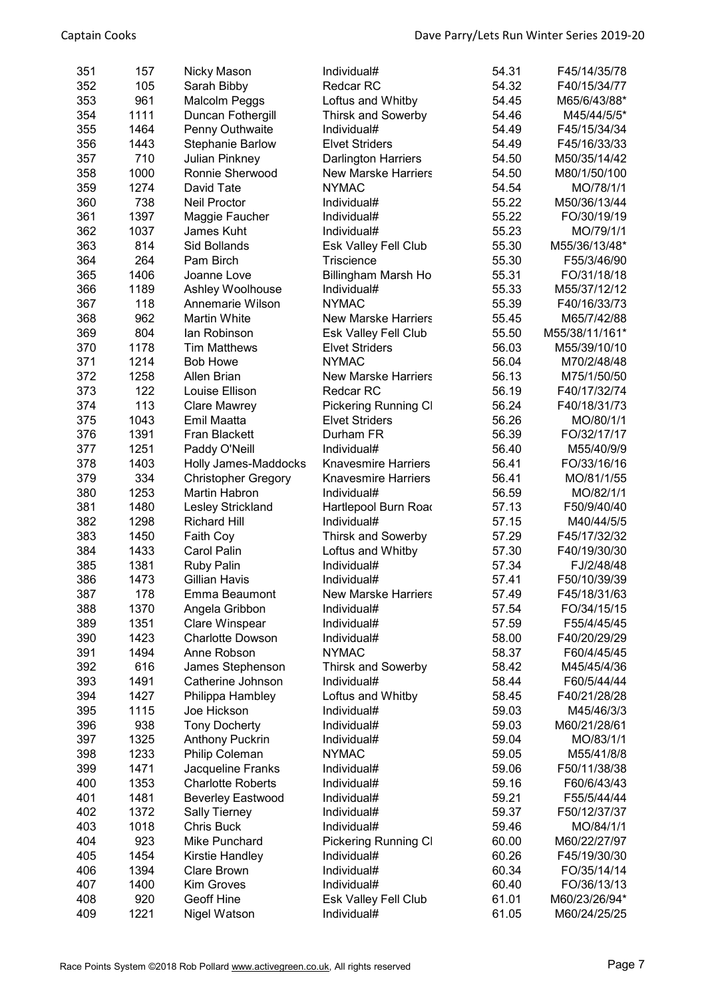| 351 | 157  | Nicky Mason                | Individual#                 | 54.31 | F45/14/35/78   |
|-----|------|----------------------------|-----------------------------|-------|----------------|
| 352 | 105  | Sarah Bibby                | <b>Redcar RC</b>            | 54.32 | F40/15/34/77   |
| 353 | 961  | <b>Malcolm Peggs</b>       | Loftus and Whitby           | 54.45 | M65/6/43/88*   |
| 354 | 1111 | Duncan Fothergill          | <b>Thirsk and Sowerby</b>   | 54.46 | M45/44/5/5*    |
| 355 | 1464 | Penny Outhwaite            | Individual#                 | 54.49 | F45/15/34/34   |
| 356 | 1443 | <b>Stephanie Barlow</b>    | <b>Elvet Striders</b>       | 54.49 | F45/16/33/33   |
| 357 | 710  | <b>Julian Pinkney</b>      | <b>Darlington Harriers</b>  | 54.50 | M50/35/14/42   |
| 358 | 1000 | Ronnie Sherwood            | <b>New Marske Harriers</b>  | 54.50 |                |
|     |      |                            |                             |       | M80/1/50/100   |
| 359 | 1274 | David Tate                 | <b>NYMAC</b>                | 54.54 | MO/78/1/1      |
| 360 | 738  | <b>Neil Proctor</b>        | Individual#                 | 55.22 | M50/36/13/44   |
| 361 | 1397 | Maggie Faucher             | Individual#                 | 55.22 | FO/30/19/19    |
| 362 | 1037 | James Kuht                 | Individual#                 | 55.23 | MO/79/1/1      |
| 363 | 814  | <b>Sid Bollands</b>        | <b>Esk Valley Fell Club</b> | 55.30 | M55/36/13/48*  |
| 364 | 264  | Pam Birch                  | Triscience                  | 55.30 | F55/3/46/90    |
| 365 | 1406 | Joanne Love                | Billingham Marsh Ho         | 55.31 | FO/31/18/18    |
| 366 | 1189 | Ashley Woolhouse           | Individual#                 | 55.33 | M55/37/12/12   |
| 367 | 118  | Annemarie Wilson           | <b>NYMAC</b>                | 55.39 | F40/16/33/73   |
| 368 | 962  | Martin White               | <b>New Marske Harriers</b>  | 55.45 | M65/7/42/88    |
| 369 | 804  | lan Robinson               | Esk Valley Fell Club        | 55.50 | M55/38/11/161* |
| 370 | 1178 | <b>Tim Matthews</b>        | <b>Elvet Striders</b>       | 56.03 | M55/39/10/10   |
| 371 | 1214 | <b>Bob Howe</b>            | <b>NYMAC</b>                | 56.04 | M70/2/48/48    |
| 372 | 1258 | <b>Allen Brian</b>         | <b>New Marske Harriers</b>  | 56.13 | M75/1/50/50    |
| 373 | 122  | Louise Ellison             | Redcar RC                   | 56.19 | F40/17/32/74   |
| 374 | 113  | <b>Clare Mawrey</b>        | <b>Pickering Running CI</b> | 56.24 | F40/18/31/73   |
| 375 | 1043 | Emil Maatta                | <b>Elvet Striders</b>       | 56.26 | MO/80/1/1      |
| 376 | 1391 | Fran Blackett              | Durham FR                   | 56.39 | FO/32/17/17    |
| 377 | 1251 | Paddy O'Neill              | Individual#                 | 56.40 | M55/40/9/9     |
|     | 1403 |                            | <b>Knavesmire Harriers</b>  | 56.41 |                |
| 378 |      | Holly James-Maddocks       |                             |       | FO/33/16/16    |
| 379 | 334  | <b>Christopher Gregory</b> | <b>Knavesmire Harriers</b>  | 56.41 | MO/81/1/55     |
| 380 | 1253 | Martin Habron              | Individual#                 | 56.59 | MO/82/1/1      |
| 381 | 1480 | Lesley Strickland          | Hartlepool Burn Road        | 57.13 | F50/9/40/40    |
| 382 | 1298 | <b>Richard Hill</b>        | Individual#                 | 57.15 | M40/44/5/5     |
| 383 | 1450 | Faith Coy                  | <b>Thirsk and Sowerby</b>   | 57.29 | F45/17/32/32   |
| 384 | 1433 | Carol Palin                | Loftus and Whitby           | 57.30 | F40/19/30/30   |
| 385 | 1381 | <b>Ruby Palin</b>          | Individual#                 | 57.34 | FJ/2/48/48     |
| 386 | 1473 | Gillian Havis              | Individual#                 | 57.41 | F50/10/39/39   |
| 387 | 178  | Emma Beaumont              | New Marske Harriers         | 57.49 | F45/18/31/63   |
| 388 | 1370 | Angela Gribbon             | Individual#                 | 57.54 | FO/34/15/15    |
| 389 | 1351 | <b>Clare Winspear</b>      | Individual#                 | 57.59 | F55/4/45/45    |
| 390 | 1423 | <b>Charlotte Dowson</b>    | Individual#                 | 58.00 | F40/20/29/29   |
| 391 | 1494 | Anne Robson                | <b>NYMAC</b>                | 58.37 | F60/4/45/45    |
| 392 | 616  | James Stephenson           | <b>Thirsk and Sowerby</b>   | 58.42 | M45/45/4/36    |
| 393 | 1491 | Catherine Johnson          | Individual#                 | 58.44 | F60/5/44/44    |
| 394 | 1427 | Philippa Hambley           | Loftus and Whitby           | 58.45 | F40/21/28/28   |
| 395 | 1115 | Joe Hickson                | Individual#                 | 59.03 | M45/46/3/3     |
| 396 | 938  | <b>Tony Docherty</b>       | Individual#                 | 59.03 | M60/21/28/61   |
| 397 | 1325 | <b>Anthony Puckrin</b>     | Individual#                 | 59.04 | MO/83/1/1      |
| 398 | 1233 | Philip Coleman             | <b>NYMAC</b>                | 59.05 | M55/41/8/8     |
| 399 | 1471 | Jacqueline Franks          | Individual#                 | 59.06 | F50/11/38/38   |
| 400 | 1353 | <b>Charlotte Roberts</b>   | Individual#                 | 59.16 | F60/6/43/43    |
|     | 1481 |                            | Individual#                 |       |                |
| 401 |      | <b>Beverley Eastwood</b>   |                             | 59.21 | F55/5/44/44    |
| 402 | 1372 | <b>Sally Tierney</b>       | Individual#                 | 59.37 | F50/12/37/37   |
| 403 | 1018 | <b>Chris Buck</b>          | Individual#                 | 59.46 | MO/84/1/1      |
| 404 | 923  | Mike Punchard              | <b>Pickering Running CI</b> | 60.00 | M60/22/27/97   |
| 405 | 1454 | Kirstie Handley            | Individual#                 | 60.26 | F45/19/30/30   |
| 406 | 1394 | Clare Brown                | Individual#                 | 60.34 | FO/35/14/14    |
| 407 | 1400 | <b>Kim Groves</b>          | Individual#                 | 60.40 | FO/36/13/13    |
| 408 | 920  | Geoff Hine                 | Esk Valley Fell Club        | 61.01 | M60/23/26/94*  |
| 409 | 1221 | Nigel Watson               | Individual#                 | 61.05 | M60/24/25/25   |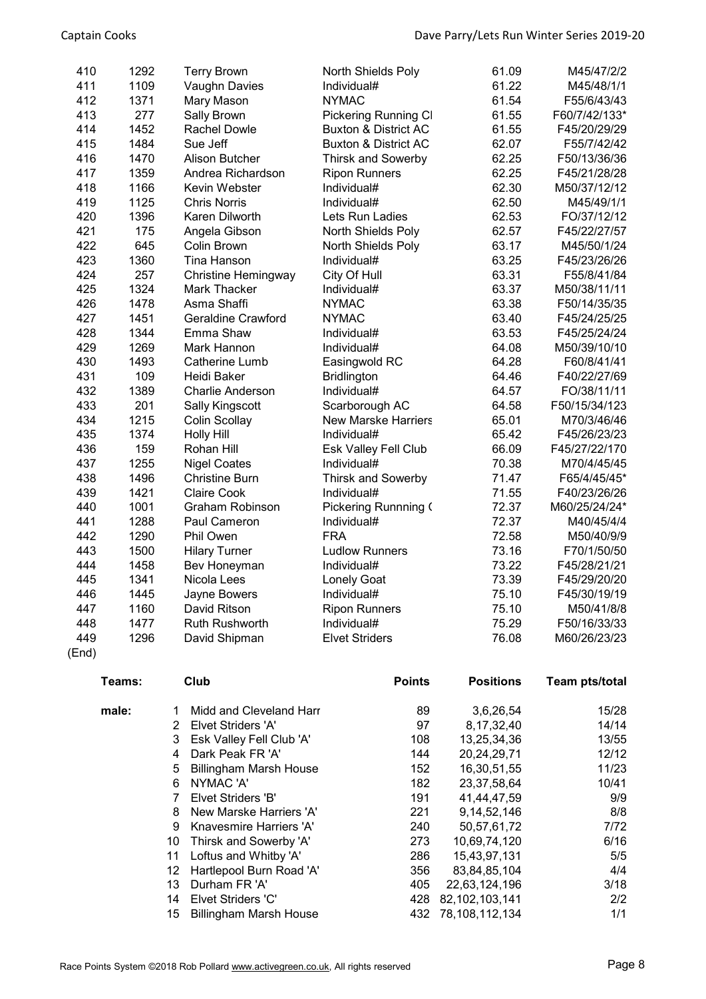| 410   | 1292   | <b>Terry Brown</b>             | North Shields Poly              | 61.09            | M45/47/2/2     |
|-------|--------|--------------------------------|---------------------------------|------------------|----------------|
| 411   | 1109   | Vaughn Davies                  | Individual#                     | 61.22            | M45/48/1/1     |
| 412   | 1371   | Mary Mason                     | <b>NYMAC</b>                    | 61.54            | F55/6/43/43    |
| 413   | 277    | Sally Brown                    | <b>Pickering Running CI</b>     | 61.55            | F60/7/42/133*  |
| 414   | 1452   | Rachel Dowle                   | <b>Buxton &amp; District AC</b> | 61.55            | F45/20/29/29   |
| 415   | 1484   | Sue Jeff                       | <b>Buxton &amp; District AC</b> | 62.07            | F55/7/42/42    |
| 416   | 1470   | <b>Alison Butcher</b>          | <b>Thirsk and Sowerby</b>       | 62.25            | F50/13/36/36   |
| 417   | 1359   | Andrea Richardson              | <b>Ripon Runners</b>            | 62.25            | F45/21/28/28   |
| 418   | 1166   | Kevin Webster                  | Individual#                     | 62.30            | M50/37/12/12   |
| 419   | 1125   | <b>Chris Norris</b>            | Individual#                     | 62.50            | M45/49/1/1     |
| 420   | 1396   | Karen Dilworth                 | Lets Run Ladies                 | 62.53            | FO/37/12/12    |
| 421   | 175    | Angela Gibson                  | North Shields Poly              | 62.57            | F45/22/27/57   |
| 422   | 645    | Colin Brown                    | North Shields Poly              | 63.17            | M45/50/1/24    |
| 423   | 1360   | Tina Hanson                    | Individual#                     | 63.25            | F45/23/26/26   |
| 424   | 257    | <b>Christine Hemingway</b>     | City Of Hull                    | 63.31            | F55/8/41/84    |
| 425   | 1324   | Mark Thacker                   | Individual#                     | 63.37            | M50/38/11/11   |
| 426   | 1478   | Asma Shaffi                    | <b>NYMAC</b>                    | 63.38            | F50/14/35/35   |
| 427   | 1451   | <b>Geraldine Crawford</b>      | <b>NYMAC</b>                    | 63.40            | F45/24/25/25   |
| 428   | 1344   | Emma Shaw                      | Individual#                     | 63.53            | F45/25/24/24   |
| 429   | 1269   | Mark Hannon                    | Individual#                     | 64.08            | M50/39/10/10   |
| 430   | 1493   | <b>Catherine Lumb</b>          | Easingwold RC                   | 64.28            | F60/8/41/41    |
| 431   | 109    | Heidi Baker                    | <b>Bridlington</b>              | 64.46            | F40/22/27/69   |
| 432   | 1389   | <b>Charlie Anderson</b>        | Individual#                     | 64.57            | FO/38/11/11    |
| 433   | 201    | Sally Kingscott                | Scarborough AC                  | 64.58            | F50/15/34/123  |
| 434   | 1215   | Colin Scollay                  | <b>New Marske Harriers</b>      | 65.01            | M70/3/46/46    |
| 435   | 1374   | <b>Holly Hill</b>              | Individual#                     | 65.42            | F45/26/23/23   |
| 436   | 159    | Rohan Hill                     | Esk Valley Fell Club            | 66.09            | F45/27/22/170  |
| 437   | 1255   | <b>Nigel Coates</b>            | Individual#                     | 70.38            | M70/4/45/45    |
| 438   | 1496   | <b>Christine Burn</b>          | <b>Thirsk and Sowerby</b>       | 71.47            | F65/4/45/45*   |
| 439   | 1421   | <b>Claire Cook</b>             | Individual#                     | 71.55            | F40/23/26/26   |
| 440   | 1001   | <b>Graham Robinson</b>         | Pickering Runnning (            | 72.37            | M60/25/24/24*  |
| 441   | 1288   | Paul Cameron                   | Individual#                     | 72.37            | M40/45/4/4     |
| 442   | 1290   | Phil Owen                      | <b>FRA</b>                      | 72.58            | M50/40/9/9     |
| 443   | 1500   | <b>Hilary Turner</b>           | <b>Ludlow Runners</b>           | 73.16            | F70/1/50/50    |
| 444   | 1458   | Bev Honeyman                   | Individual#                     | 73.22            | F45/28/21/21   |
| 445   | 1341   | Nicola Lees                    | <b>Lonely Goat</b>              | 73.39            | F45/29/20/20   |
| 446   | 1445   | Jayne Bowers                   | Individual#                     | 75.10            | F45/30/19/19   |
| 447   | 1160   | David Ritson                   | <b>Ripon Runners</b>            | 75.10            | M50/41/8/8     |
| 448   | 1477   | <b>Ruth Rushworth</b>          | Individual#                     | 75.29            | F50/16/33/33   |
| 449   | 1296   | David Shipman                  | <b>Elvet Striders</b>           | 76.08            | M60/26/23/23   |
| (End) |        |                                |                                 |                  |                |
|       | Teams: | Club                           | <b>Points</b>                   | <b>Positions</b> | Team pts/total |
|       | male:  | Midd and Cleveland Harr<br>1   | 89                              | 3,6,26,54        | 15/28          |
|       |        | <b>Elvet Striders 'A'</b><br>2 | 97                              | 8, 17, 32, 40    | 14/14          |
|       |        | 3 Eck Volley Fell Club 'A'     | 108                             | 13.25.34.36      | 13/55          |

|    | Elvet Striders 'A'          | 97  | 8.17.32.40     | 14/14 |
|----|-----------------------------|-----|----------------|-------|
|    | 3 Esk Valley Fell Club 'A'  | 108 | 13,25,34,36    | 13/55 |
| 4  | Dark Peak FR 'A'            | 144 | 20,24,29,71    | 12/12 |
| 5  | Billingham Marsh House      | 152 | 16,30,51,55    | 11/23 |
| 6  | NYMAC 'A'                   | 182 | 23, 37, 58, 64 | 10/41 |
|    | Elvet Striders 'B'          | 191 | 41,44,47,59    | 9/9   |
| 8  | New Marske Harriers 'A'     | 221 | 9, 14, 52, 146 | 8/8   |
| 9  | Knavesmire Harriers 'A'     | 240 | 50,57,61,72    | 7/72  |
| 10 | Thirsk and Sowerby 'A'      | 273 | 10,69,74,120   | 6/16  |
| 11 | Loftus and Whitby 'A'       | 286 | 15,43,97,131   | 5/5   |
|    | 12 Hartlepool Burn Road 'A' | 356 | 83,84,85,104   | 4/4   |
| 13 | Durham FR 'A'               | 405 | 22,63,124,196  | 3/18  |
| 14 | <b>Elvet Striders 'C'</b>   | 428 | 82,102,103,141 | 2/2   |
| 15 | Billingham Marsh House      | 432 | 78,108,112,134 | 1/1   |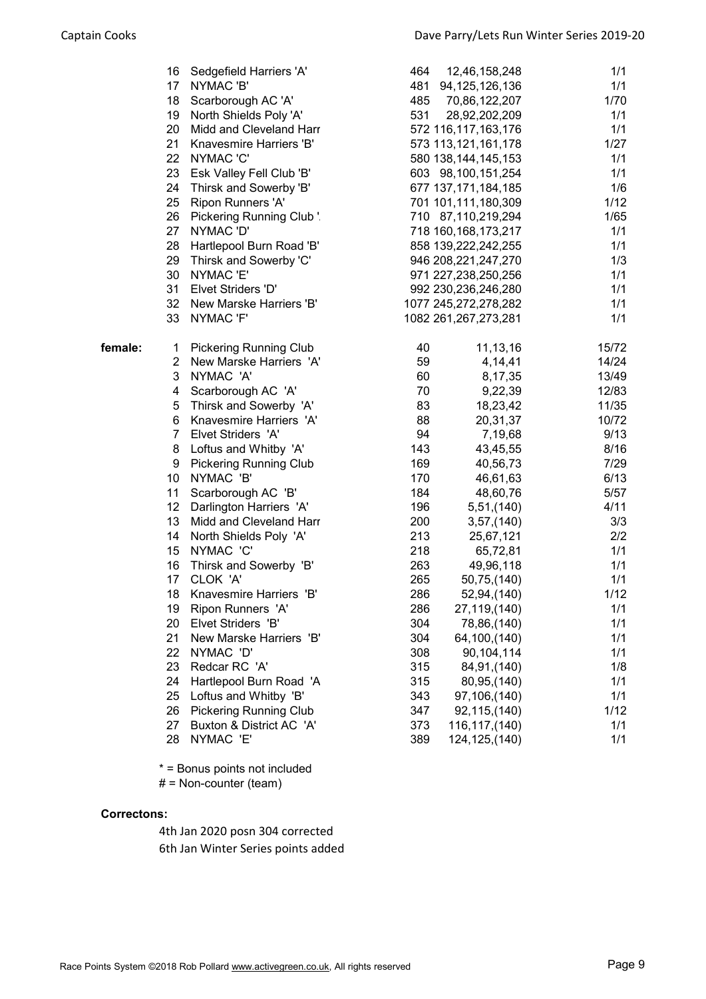|         | 16       | Sedgefield Harriers 'A'             | 464        | 12,46,158,248                              | 1/1        |
|---------|----------|-------------------------------------|------------|--------------------------------------------|------------|
|         |          | 17 NYMAC'B'                         | 481        | 94, 125, 126, 136                          | 1/1        |
|         |          | 18 Scarborough AC 'A'               | 485        | 70,86,122,207                              | 1/70       |
|         |          | 19 North Shields Poly 'A'           | 531        | 28,92,202,209                              | 1/1        |
|         |          | 20 Midd and Cleveland Harr          |            | 572 116,117,163,176                        | 1/1        |
|         | 21       | Knavesmire Harriers 'B'             |            | 573 113,121,161,178                        | 1/27       |
|         |          | 22 NYMAC 'C'                        |            | 580 138, 144, 145, 153                     | 1/1        |
|         |          | 23 Esk Valley Fell Club 'B'         |            | 603 98,100,151,254                         | 1/1        |
|         | 24       | Thirsk and Sowerby 'B'              |            | 677 137, 171, 184, 185                     | 1/6        |
|         | 25       | Ripon Runners 'A'                   |            | 701 101,111,180,309                        | 1/12       |
|         | 26       | Pickering Running Club '.           |            | 710 87,110,219,294                         | 1/65       |
|         |          | 27 NYMAC 'D'                        |            | 718 160, 168, 173, 217                     | 1/1        |
|         | 28<br>29 | Hartlepool Burn Road 'B'            |            | 858 139,222,242,255                        | 1/1        |
|         | 30       | Thirsk and Sowerby 'C'<br>NYMAC 'E' |            | 946 208,221,247,270<br>971 227,238,250,256 | 1/3<br>1/1 |
|         | 31       | Elvet Striders 'D'                  |            | 992 230, 236, 246, 280                     | 1/1        |
|         |          | 32 New Marske Harriers 'B'          |            | 1077 245,272,278,282                       | 1/1        |
|         | 33       | NYMAC 'F'                           |            | 1082 261, 267, 273, 281                    | 1/1        |
|         |          |                                     |            |                                            |            |
| female: |          | 1 Pickering Running Club            | 40         | 11, 13, 16                                 | 15/72      |
|         |          | 2 New Marske Harriers 'A'           | 59         | 4,14,41                                    | 14/24      |
|         | 3        | NYMAC 'A'                           | 60         | 8,17,35                                    | 13/49      |
|         | 4        | Scarborough AC 'A'                  | 70         | 9,22,39                                    | 12/83      |
|         | 5        | Thirsk and Sowerby 'A'              | 83         | 18,23,42                                   | 11/35      |
|         | 6        | Knavesmire Harriers 'A'             | 88         | 20,31,37                                   | 10/72      |
|         |          | 7 Elvet Striders 'A'                | 94         | 7,19,68                                    | 9/13       |
|         | 8        | Loftus and Whitby 'A'               | 143        | 43,45,55                                   | 8/16       |
|         | 9        | <b>Pickering Running Club</b>       | 169        | 40,56,73                                   | 7/29       |
|         |          | 10 NYMAC 'B'                        | 170        | 46,61,63                                   | 6/13       |
|         | 11       | Scarborough AC 'B'                  | 184        | 48,60,76                                   | 5/57       |
|         |          | 12 Darlington Harriers 'A'          | 196        | 5,51,(140)                                 | 4/11       |
|         |          | 13 Midd and Cleveland Harr          | 200        | 3,57,(140)                                 | 3/3        |
|         |          | 14 North Shields Poly 'A'           | 213        | 25,67,121                                  | 2/2        |
|         | 15       | NYMAC 'C'                           | 218        | 65,72,81                                   | 1/1        |
|         | 16<br>17 | Thirsk and Sowerby 'B'<br>CLOK 'A'  | 263<br>265 | 49,96,118<br>50,75,(140)                   | 1/1<br>1/1 |
|         | 18       | Knavesmire Harriers 'B'             | 286        | 52,94,(140)                                | 1/12       |
|         | 19       | Ripon Runners 'A'                   | 286        | 27,119,(140)                               | 1/1        |
|         | 20       | Elvet Striders 'B'                  | 304        | 78,86,(140)                                | 1/1        |
|         | 21       | New Marske Harriers 'B'             | 304        | 64,100,(140)                               | 1/1        |
|         | 22       | NYMAC 'D'                           | 308        | 90,104,114                                 | 1/1        |
|         | 23       | Redcar RC 'A'                       | 315        | 84,91,(140)                                | 1/8        |
|         | 24       | Hartlepool Burn Road 'A             | 315        | 80,95,(140)                                | 1/1        |
|         | 25       | Loftus and Whitby 'B'               | 343        | 97,106,(140)                               | 1/1        |
|         | 26       | <b>Pickering Running Club</b>       | 347        | 92,115,(140)                               | 1/12       |
|         | 27       | Buxton & District AC 'A'            | 373        | 116, 117, (140)                            | 1/1        |
|         | 28       | NYMAC 'E'                           | 389        | 124, 125, (140)                            | 1/1        |
|         |          |                                     |            |                                            |            |

\* = Bonus points not included

# = Non-counter (team)

## Correctons:

4th Jan 2020 posn 304 corrected 6th Jan Winter Series points added